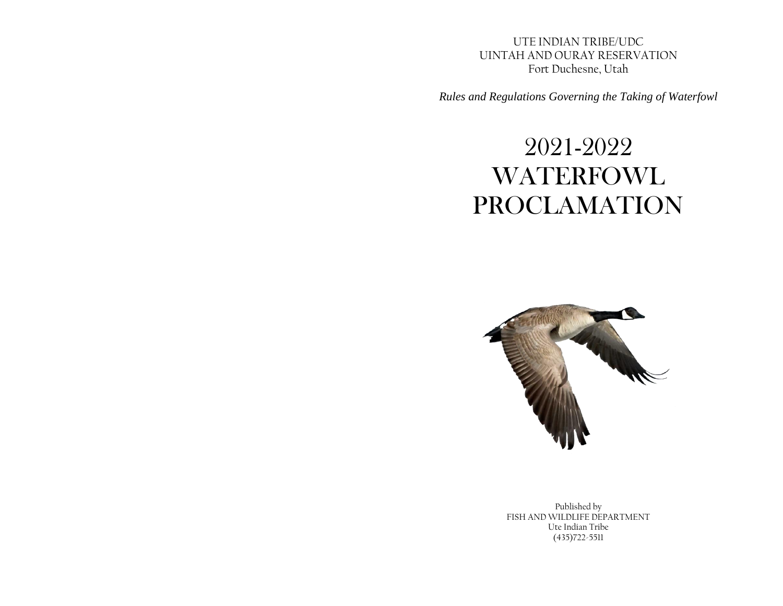UTE INDIAN TRIBE/UDC UINTAH AND OURAY RESERVATION Fort Duchesne, Utah

*Rules and Regulations Governing the Taking of Waterfowl*

# 2021-2022 **WATERFOWL** PROCLAMATION



Published by FISH AND WILDLIFE DEPARTMENT Ute Indian Tribe (435)722-5511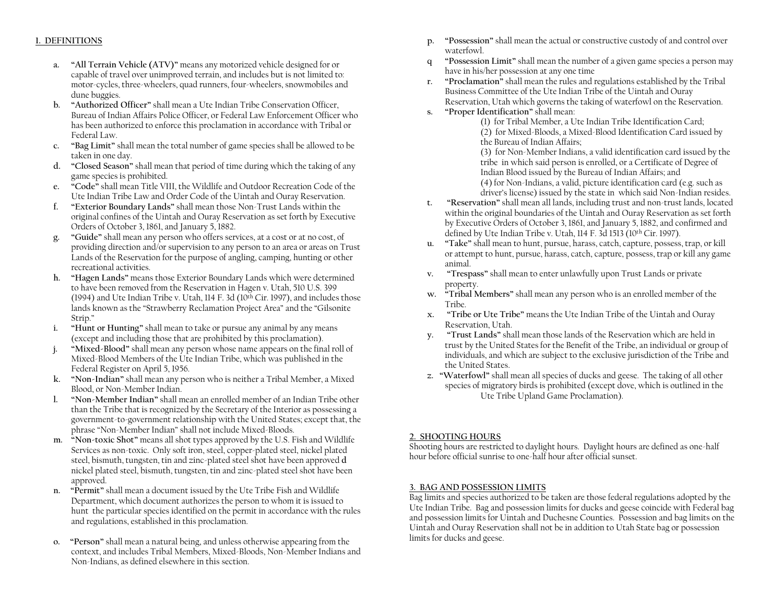#### **1. DEFINITIONS**

- **a. "All Terrain Vehicle (ATV)"** means any motorized vehicle designed for or capable of travel over unimproved terrain, and includes but is not limited to: motor-cycles, three-wheelers, quad runners, four-wheelers, snowmobiles and dune buggies.
- **b. "Authorized Officer"** shall mean a Ute Indian Tribe Conservation Officer, Bureau of Indian Affairs Police Officer, or Federal Law Enforcement Officer who has been authorized to enforce this proclamation in accordance with Tribal or Federal Law.
- **c. "Bag Limit"** shall mean the total number of game species shall be allowed to be taken in one day.
- **d. "Closed Season"** shall mean that period of time during which the taking of any game species is prohibited.
- **e. "Code"** shall mean Title VIII, the Wildlife and Outdoor Recreation Code of the Ute Indian Tribe Law and Order Code of the Uintah and Ouray Reservation.
- **f. "Exterior Boundary Lands"** shall mean those Non-Trust Lands within the original confines of the Uintah and Ouray Reservation as set forth by Executive Orders of October 3, 1861, and January 5, 1882.
- **g. "Guide"** shall mean any person who offers services, at a cost or at no cost, of providing direction and/or supervision to any person to an area or areas on Trust Lands of the Reservation for the purpose of angling, camping, hunting or other recreational activities.
- **h. "Hagen Lands"** means those Exterior Boundary Lands which were determined to have been removed from the Reservation in Hagen v. Utah, 510 U.S. 399 (1994) and Ute Indian Tribe v. Utah, 114 F. 3d ( $10<sup>th</sup>$  Cir. 1997), and includes those lands known as the "Strawberry Reclamation Project Area" and the "Gilsonite Strip."
- **i. "Hunt or Hunting"** shall mean to take or pursue any animal by any means (except and including those that are prohibited by this proclamation).
- **j. "Mixed-Blood"** shall mean any person whose name appears on the final roll of Mixed-Blood Members of the Ute Indian Tribe, which was published in the Federal Register on April 5, 1956.
- **k. "Non-Indian"** shall mean any person who is neither a Tribal Member, a Mixed Blood, or Non-Member Indian.
- **l. "Non-Member Indian"** shall mean an enrolled member of an Indian Tribe other than the Tribe that is recognized by the Secretary of the Interior as possessing a government-to-government relationship with the United States; except that, the phrase "Non-Member Indian" shall not include Mixed-Bloods.
- **m. "Non-toxic Shot"** means all shot types approved by the U.S. Fish and Wildlife Services as non-toxic. Only soft iron, steel, copper-plated steel, nickel plated steel, bismuth, tungsten, tin and zinc-plated steel shot have been approved **d** nickel plated steel, bismuth, tungsten, tin and zinc-plated steel shot have been approved.
- **n. "Permit"** shall mean a document issued by the Ute Tribe Fish and Wildlife Department, which document authorizes the person to whom it is issued to hunt the particular species identified on the permit in accordance with the rules and regulations, established in this proclamation.
- **o. "Person"** shall mean a natural being, and unless otherwise appearing from the context, and includes Tribal Members, Mixed-Bloods, Non-Member Indians and Non-Indians, as defined elsewhere in this section.
- **p. "Possession"** shall mean the actual or constructive custody of and control over waterfowl.
- **q "Possession Limit"** shall mean the number of a given game species a person may have in his/her possession at any one time
- **r. "Proclamation"** shall mean the rules and regulations established by the Tribal Business Committee of the Ute Indian Tribe of the Uintah and Ouray Reservation, Utah which governs the taking of waterfowl on the Reservation.
- **s. "Proper Identification"** shall mean:

(1) for Tribal Member, a Ute Indian Tribe Identification Card; (2) for Mixed-Bloods, a Mixed-Blood Identification Card issued by the Bureau of Indian Affairs;

(3) for Non-Member Indians, a valid identification card issued by the tribe in which said person is enrolled, or a Certificate of Degree of Indian Blood issued by the Bureau of Indian Affairs; and (4) for Non-Indians, a valid, picture identification card (e.g. such as

driver's license) issued by the state in which said Non-Indian resides.

- **t. "Reservation"** shall mean all lands, including trust and non-trust lands, located within the original boundaries of the Uintah and Ouray Reservation as set forth by Executive Orders of October 3, 1861, and January 5, 1882, and confirmed and defined by Ute Indian Tribe v. Utah, 114 F. 3d 1513 (10th Cir. 1997).
- **u. "Take"** shall mean to hunt, pursue, harass, catch, capture, possess, trap, or kill or attempt to hunt, pursue, harass, catch, capture, possess, trap or kill any game animal.
- **v. "Trespass"** shall mean to enter unlawfully upon Trust Lands or private property.
- **w. "Tribal Members"** shall mean any person who is an enrolled member of the Tribe.
- **x. "Tribe or Ute Tribe"** means the Ute Indian Tribe of the Uintah and Ouray Reservation, Utah.
- **y. "Trust Lands"** shall mean those lands of the Reservation which are held in trust by the United States for the Benefit of the Tribe, an individual or group of individuals, and which are subject to the exclusive jurisdiction of the Tribe and the United States.
- **z. "Waterfowl"** shall mean all species of ducks and geese. The taking of all other species of migratory birds is prohibited (except dove, which is outlined in the Ute Tribe Upland Game Proclamation).

#### **2. SHOOTING HOURS**

Shooting hours are restricted to daylight hours. Daylight hours are defined as one-half hour before official sunrise to one-half hour after official sunset.

#### **3. BAG AND POSSESSION LIMITS**

Bag limits and species authorized to be taken are those federal regulations adopted by the Ute Indian Tribe. Bag and possession limits for ducks and geese coincide with Federal bag and possession limits for Uintah and Duchesne Counties. Possession and bag limits on the Uintah and Ouray Reservation shall not be in addition to Utah State bag or possession limits for ducks and geese.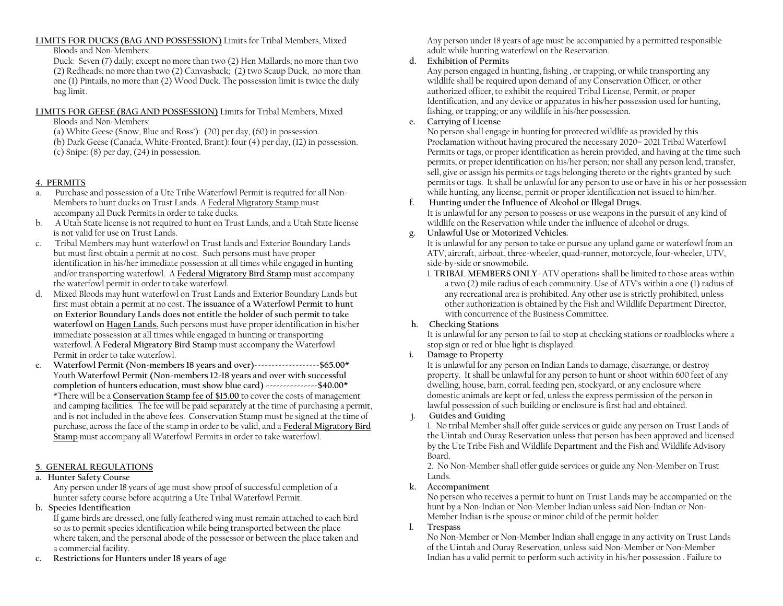# **LIMITS FOR DUCKS (BAG AND POSSESSION)** Limits for Tribal Members, Mixed

Bloods and Non-Members:

Duck: Seven (7) daily; except no more than two (2) Hen Mallards; no more than two (2) Redheads; no more than two (2) Canvasback; (2) two Scaup Duck, no more than one (1) Pintails, no more than (2) Wood Duck. The possession limit is twice the daily bag limit.

## **LIMITS FOR GEESE (BAG AND POSSESSION)** Limits for Tribal Members, Mixed

Bloods and Non-Members:

(a) White Geese (Snow, Blue and Ross'): (20) per day, (60) in possession.

(b) Dark Geese (Canada, White-Fronted, Brant): four (4) per day, (12) in possession. (c) Snipe: (8) per day, (24) in possession.

# **4. PERMITS**

- a. Purchase and possession of a Ute Tribe Waterfowl Permit is required for all Non-Members to hunt ducks on Trust Lands. A Federal Migratory Stamp must accompany all Duck Permits in order to take ducks.
- b. A Utah State license is not required to hunt on Trust Lands, and a Utah State license is not valid for use on Trust Lands.
- c. Tribal Members may hunt waterfowl on Trust lands and Exterior Boundary Lands but must first obtain a permit at no cost. Such persons must have proper identification in his/her immediate possession at all times while engaged in hunting and/or transporting waterfowl. A **Federal Migratory Bird Stamp** must accompany the waterfowl permit in order to take waterfowl.
- d. Mixed Bloods may hunt waterfowl on Trust Lands and Exterior Boundary Lands but first must obtain a permit at no cost. **The issuance of a Waterfowl Permit to hunt on Exterior Boundary Lands does not entitle the holder of such permit to take waterfowl on Hagen Lands.** Such persons must have proper identification in his/her immediate possession at all times while engaged in hunting or transporting waterfowl. **A Federal Migratory Bird Stamp** must accompany the Waterfowl Permit in order to take waterfowl.
- e. **Waterfowl Permit (Non-members 18 years and over)-------------------\$65.00\*** Youth **Waterfowl Permit (Non-members 12-18 years and over with successful completion of hunters education, must show blue card) ---------------\$40.00\*** \*There will be a **Conservation Stamp fee of \$15.00** to cover the costs of management and camping facilities. The fee will be paid separately at the time of purchasing a permit, and is not included in the above fees. Conservation Stamp must be signed at the time of purchase, across the face of the stamp in order to be valid, and a **Federal Migratory Bird Stamp** must accompany all Waterfowl Permits in order to take waterfowl.

# **5. GENERAL REGULATIONS**

## **a. Hunter Safety Course**

Any person under 18 years of age must show proof of successful completion of a hunter safety course before acquiring a Ute Tribal Waterfowl Permit.

**b. Species Identification**

If game birds are dressed, one fully feathered wing must remain attached to each bird so as to permit species identification while being transported between the place where taken, and the personal abode of the possessor or between the place taken and a commercial facility.

**c. Restrictions for Hunters under 18 years of age**

Any person under 18 years of age must be accompanied by a permitted responsible adult while hunting waterfowl on the Reservation.

# **d. Exhibition of Permits**

Any person engaged in hunting, fishing , or trapping, or while transporting any wildlife shall be required upon demand of any Conservation Officer, or other authorized officer, to exhibit the required Tribal License, Permit, or proper Identification, and any device or apparatus in his/her possession used for hunting, fishing, or trapping; or any wildlife in his/her possession.

## **e. Carrying of License**

No person shall engage in hunting for protected wildlife as provided by this Proclamation without having procured the necessary 2020– 2021 Tribal Waterfowl Permits or tags, or proper identification as herein provided, and having at the time such permits, or proper identification on his/her person; nor shall any person lend, transfer, sell, give or assign his permits or tags belonging thereto or the rights granted by such permits or tags. It shall be unlawful for any person to use or have in his or her possession while hunting, any license, permit or proper identification not issued to him/her.

# **f. Hunting under the Influence of Alcohol or Illegal Drugs.**

It is unlawful for any person to possess or use weapons in the pursuit of any kind of wildlife on the Reservation while under the influence of alcohol or drugs.

## **g. Unlawful Use or Motorized Vehicles.**

It is unlawful for any person to take or pursue any upland game or waterfowl from an ATV, aircraft, airboat, three-wheeler, quad-runner, motorcycle, four-wheeler, UTV, side-by-side or snowmobile.

1. **TRIBAL MEMBERS ONLY**- ATV operations shall be limited to those areas within a two (2) mile radius of each community. Use of ATV's within a one (1) radius of any recreational area is prohibited. Any other use is strictly prohibited, unless other authorization is obtained by the Fish and Wildlife Department Director, with concurrence of the Business Committee.

## **h. Checking Stations**

It is unlawful for any person to fail to stop at checking stations or roadblocks where a stop sign or red or blue light is displayed.

## **i. Damage to Property**

It is unlawful for any person on Indian Lands to damage, disarrange, or destroy property. It shall be unlawful for any person to hunt or shoot within 600 feet of any dwelling, house, barn, corral, feeding pen, stockyard, or any enclosure where domestic animals are kept or fed, unless the express permission of the person in lawful possession of such building or enclosure is first had and obtained.

## **j. Guides and Guiding**

1. No tribal Member shall offer guide services or guide any person on Trust Lands of the Uintah and Ouray Reservation unless that person has been approved and licensed by the Ute Tribe Fish and Wildlife Department and the Fish and Wildlife Advisory Board.

2. No Non-Member shall offer guide services or guide any Non-Member on Trust Lands.

## **k. Accompaniment**

No person who receives a permit to hunt on Trust Lands may be accompanied on the hunt by a Non-Indian or Non-Member Indian unless said Non-Indian or Non-Member Indian is the spouse or minor child of the permit holder.

## **l. Trespass**

No Non-Member or Non-Member Indian shall engage in any activity on Trust Lands of the Uintah and Ouray Reservation, unless said Non-Member or Non-Member Indian has a valid permit to perform such activity in his/her possession . Failure to